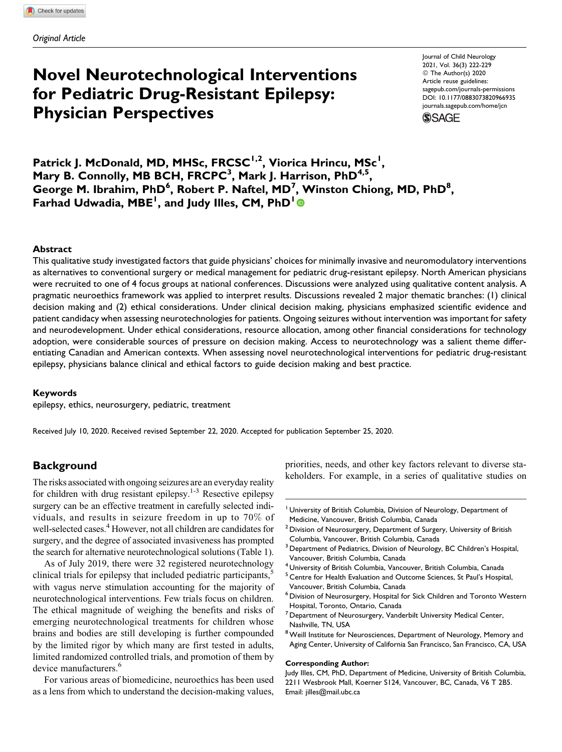# **Novel Neurotechnological Interventions for Pediatric Drug-Resistant Epilepsy: Physician Perspectives**

Journal of Child Neurology 2021, Vol. 36(3) 222-229 © The Author(s) 2020 Article reuse guidelines: [sagepub.com/journals-permissions](https://sagepub.com/journals-permissions) [DOI: 10.1177/0883073820966935](https://doi.org/10.1177/0883073820966935) [journals.sagepub.com/home/jcn](http://journals.sagepub.com/home/jcn)



Patrick J. McDonald, MD, MHSc, FRCSC<sup>1,2</sup>, Viorica Hrincu, MSc<sup>1</sup>, **Mary B. Connolly, MB BCH, FRCPC<sup>3</sup> , Mark J. Harrison, PhD4,5,** George M. Ibrahim, PhD<sup>6</sup>, Robert P. Naftel, MD<sup>7</sup>, Winston Chiong, MD, PhD<sup>8</sup>, **Farhad Udwadia, MBE<sup>1</sup> , and Judy Illes, CM, PhD<sup>1</sup>**

### **Abstract**

This qualitative study investigated factors that guide physicians' choices for minimally invasive and neuromodulatory interventions as alternatives to conventional surgery or medical management for pediatric drug-resistant epilepsy. North American physicians were recruited to one of 4 focus groups at national conferences. Discussions were analyzed using qualitative content analysis. A pragmatic neuroethics framework was applied to interpret results. Discussions revealed 2 major thematic branches: (1) clinical decision making and (2) ethical considerations. Under clinical decision making, physicians emphasized scientific evidence and patient candidacy when assessing neurotechnologies for patients. Ongoing seizures without intervention was important for safety and neurodevelopment. Under ethical considerations, resource allocation, among other financial considerations for technology adoption, were considerable sources of pressure on decision making. Access to neurotechnology was a salient theme differentiating Canadian and American contexts. When assessing novel neurotechnological interventions for pediatric drug-resistant epilepsy, physicians balance clinical and ethical factors to guide decision making and best practice.

#### **Keywords**

epilepsy, ethics, neurosurgery, pediatric, treatment

Received July 10, 2020. Received revised September 22, 2020. Accepted for publication September 25, 2020.

# **Background**

The risks associated with ongoing seizures are an everyday reality for children with drug resistant epilepsy.<sup>1-3</sup> Resective epilepsy surgery can be an effective treatment in carefully selected individuals, and results in seizure freedom in up to 70% of well-selected cases.<sup>4</sup> However, not all children are candidates for surgery, and the degree of associated invasiveness has prompted the search for alternative neurotechnological solutions (Table 1).

As of July 2019, there were 32 registered neurotechnology clinical trials for epilepsy that included pediatric participants,<sup>5</sup> with vagus nerve stimulation accounting for the majority of neurotechnological interventions. Few trials focus on children. The ethical magnitude of weighing the benefits and risks of emerging neurotechnological treatments for children whose brains and bodies are still developing is further compounded by the limited rigor by which many are first tested in adults, limited randomized controlled trials, and promotion of them by device manufacturers.<sup>6</sup>

For various areas of biomedicine, neuroethics has been used as a lens from which to understand the decision-making values,

priorities, needs, and other key factors relevant to diverse stakeholders. For example, in a series of qualitative studies on

- <sup>1</sup> University of British Columbia, Division of Neurology, Department of Medicine, Vancouver, British Columbia, Canada
- $2$  Division of Neurosurgery, Department of Surgery, University of British Columbia, Vancouver, British Columbia, Canada
- <sup>3</sup> Department of Pediatrics, Division of Neurology, BC Children's Hospital, Vancouver, British Columbia, Canada
- <sup>4</sup> University of British Columbia, Vancouver, British Columbia, Canada
- <sup>5</sup> Centre for Health Evaluation and Outcome Sciences, St Paul's Hospital, Vancouver, British Columbia, Canada
- <sup>6</sup> Division of Neurosurgery, Hospital for Sick Children and Toronto Western Hospital, Toronto, Ontario, Canada
- $7$  Department of Neurosurgery, Vanderbilt University Medical Center, Nashville, TN, USA
- <sup>8</sup> Weill Institute for Neurosciences, Department of Neurology, Memory and Aging Center, University of California San Francisco, San Francisco, CA, USA

#### **Corresponding Author:**

Judy Illes, CM, PhD, Department of Medicine, University of British Columbia, 2211 Wesbrook Mall, Koerner S124, Vancouver, BC, Canada, V6 T 2B5. Email: [jilles@mail.ubc.ca](mailto:jilles@mail.ubc.ca)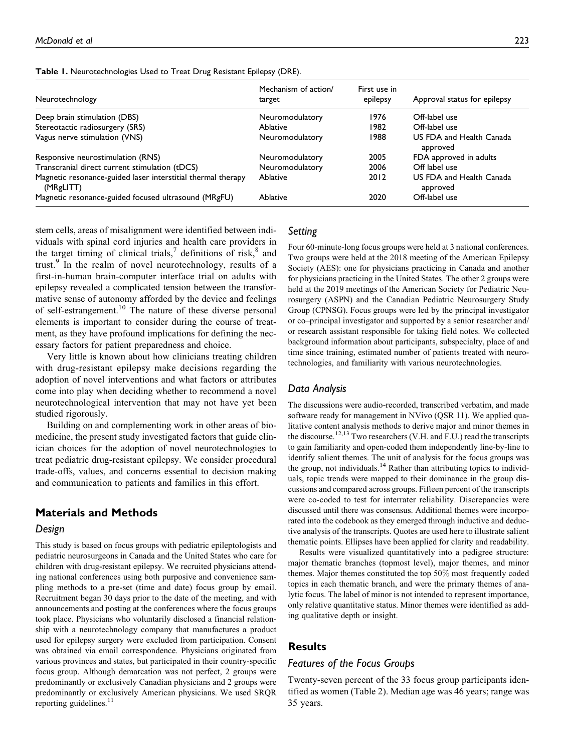| Neurotechnology                                                           | Mechanism of action/<br>target | First use in<br>epilepsy | Approval status for epilepsy         |
|---------------------------------------------------------------------------|--------------------------------|--------------------------|--------------------------------------|
| Deep brain stimulation (DBS)                                              | Neuromodulatory                | 1976                     | Off-label use                        |
| Stereotactic radiosurgery (SRS)                                           | Ablative                       | 1982                     | Off-label use                        |
| Vagus nerve stimulation (VNS)                                             | Neuromodulatory                | 1988                     | US FDA and Health Canada<br>approved |
| Responsive neurostimulation (RNS)                                         | Neuromodulatory                | 2005                     | FDA approved in adults               |
| Transcranial direct current stimulation (tDCS)                            | Neuromodulatory                | 2006                     | Off label use                        |
| Magnetic resonance-guided laser interstitial thermal therapy<br>(MRgLITT) | Ablative                       | 2012                     | US FDA and Health Canada<br>approved |
| Magnetic resonance-guided focused ultrasound (MRgFU)                      | Ablative                       | 2020                     | Off-label use                        |

**Table 1.** Neurotechnologies Used to Treat Drug Resistant Epilepsy (DRE).

stem cells, areas of misalignment were identified between individuals with spinal cord injuries and health care providers in the target timing of clinical trials,<sup>7</sup> definitions of risk, $^8$  and trust.<sup>9</sup> In the realm of novel neurotechnology, results of a first-in-human brain-computer interface trial on adults with epilepsy revealed a complicated tension between the transformative sense of autonomy afforded by the device and feelings of self-estrangement.<sup>10</sup> The nature of these diverse personal elements is important to consider during the course of treatment, as they have profound implications for defining the necessary factors for patient preparedness and choice.

Very little is known about how clinicians treating children with drug-resistant epilepsy make decisions regarding the adoption of novel interventions and what factors or attributes come into play when deciding whether to recommend a novel neurotechnological intervention that may not have yet been studied rigorously.

Building on and complementing work in other areas of biomedicine, the present study investigated factors that guide clinician choices for the adoption of novel neurotechnologies to treat pediatric drug-resistant epilepsy. We consider procedural trade-offs, values, and concerns essential to decision making and communication to patients and families in this effort.

# **Materials and Methods**

### *Design*

This study is based on focus groups with pediatric epileptologists and pediatric neurosurgeons in Canada and the United States who care for children with drug-resistant epilepsy. We recruited physicians attending national conferences using both purposive and convenience sampling methods to a pre-set (time and date) focus group by email. Recruitment began 30 days prior to the date of the meeting, and with announcements and posting at the conferences where the focus groups took place. Physicians who voluntarily disclosed a financial relationship with a neurotechnology company that manufactures a product used for epilepsy surgery were excluded from participation. Consent was obtained via email correspondence. Physicians originated from various provinces and states, but participated in their country-specific focus group. Although demarcation was not perfect, 2 groups were predominantly or exclusively Canadian physicians and 2 groups were predominantly or exclusively American physicians. We used SRQR reporting guidelines.<sup>11</sup>

### *Setting*

Four 60-minute-long focus groups were held at 3 national conferences. Two groups were held at the 2018 meeting of the American Epilepsy Society (AES): one for physicians practicing in Canada and another for physicians practicing in the United States. The other 2 groups were held at the 2019 meetings of the American Society for Pediatric Neurosurgery (ASPN) and the Canadian Pediatric Neurosurgery Study Group (CPNSG). Focus groups were led by the principal investigator or co–principal investigator and supported by a senior researcher and/ or research assistant responsible for taking field notes. We collected background information about participants, subspecialty, place of and time since training, estimated number of patients treated with neurotechnologies, and familiarity with various neurotechnologies.

# *Data Analysis*

The discussions were audio-recorded, transcribed verbatim, and made software ready for management in NVivo (QSR 11). We applied qualitative content analysis methods to derive major and minor themes in the discourse.<sup>12,13</sup> Two researchers (V.H. and F.U.) read the transcripts to gain familiarity and open-coded them independently line-by-line to identify salient themes. The unit of analysis for the focus groups was the group, not individuals.<sup>14</sup> Rather than attributing topics to individuals, topic trends were mapped to their dominance in the group discussions and compared across groups. Fifteen percent of the transcripts were co-coded to test for interrater reliability. Discrepancies were discussed until there was consensus. Additional themes were incorporated into the codebook as they emerged through inductive and deductive analysis of the transcripts. Quotes are used here to illustrate salient thematic points. Ellipses have been applied for clarity and readability.

Results were visualized quantitatively into a pedigree structure: major thematic branches (topmost level), major themes, and minor themes. Major themes constituted the top 50% most frequently coded topics in each thematic branch, and were the primary themes of analytic focus. The label of minor is not intended to represent importance, only relative quantitative status. Minor themes were identified as adding qualitative depth or insight.

# **Results**

# *Features of the Focus Groups*

Twenty-seven percent of the 33 focus group participants identified as women (Table 2). Median age was 46 years; range was 35 years.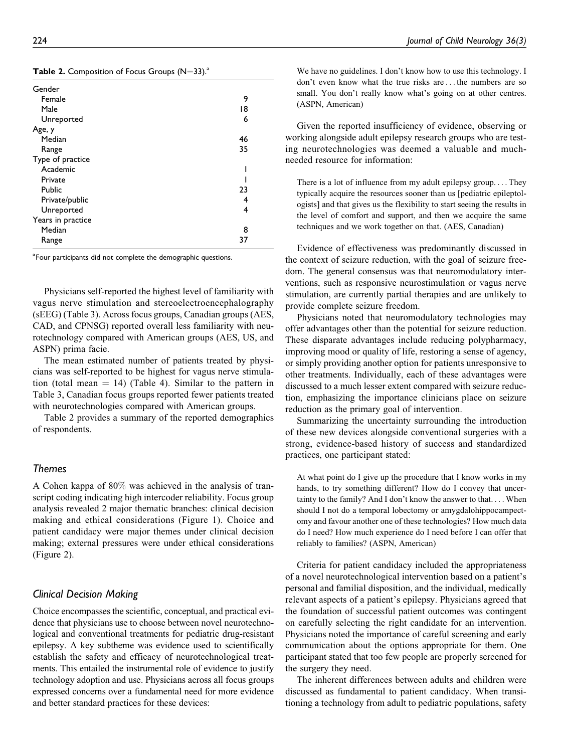|  | <b>Table 2.</b> Composition of Focus Groups $(N=33).$ <sup>a</sup> |  |  |
|--|--------------------------------------------------------------------|--|--|
|  |                                                                    |  |  |

| 9  |
|----|
| 18 |
| 6  |
|    |
| 46 |
| 35 |
|    |
|    |
|    |
| 23 |
| 4  |
| 4  |
|    |
| 8  |
| 37 |
|    |

<sup>a</sup> Four participants did not complete the demographic questions.

Physicians self-reported the highest level of familiarity with vagus nerve stimulation and stereoelectroencephalography (sEEG) (Table 3). Across focus groups, Canadian groups (AES, CAD, and CPNSG) reported overall less familiarity with neurotechnology compared with American groups (AES, US, and ASPN) prima facie.

The mean estimated number of patients treated by physicians was self-reported to be highest for vagus nerve stimulation (total mean  $= 14$ ) (Table 4). Similar to the pattern in Table 3, Canadian focus groups reported fewer patients treated with neurotechnologies compared with American groups.

Table 2 provides a summary of the reported demographics of respondents.

# *Themes*

A Cohen kappa of 80% was achieved in the analysis of transcript coding indicating high intercoder reliability. Focus group analysis revealed 2 major thematic branches: clinical decision making and ethical considerations (Figure 1). Choice and patient candidacy were major themes under clinical decision making; external pressures were under ethical considerations (Figure 2).

# *Clinical Decision Making*

Choice encompasses the scientific, conceptual, and practical evidence that physicians use to choose between novel neurotechnological and conventional treatments for pediatric drug-resistant epilepsy. A key subtheme was evidence used to scientifically establish the safety and efficacy of neurotechnological treatments. This entailed the instrumental role of evidence to justify technology adoption and use. Physicians across all focus groups expressed concerns over a fundamental need for more evidence and better standard practices for these devices:

We have no guidelines. I don't know how to use this technology. I don't even know what the true risks are ... the numbers are so small. You don't really know what's going on at other centres. (ASPN, American)

Given the reported insufficiency of evidence, observing or working alongside adult epilepsy research groups who are testing neurotechnologies was deemed a valuable and muchneeded resource for information:

There is a lot of influence from my adult epilepsy group. ... They typically acquire the resources sooner than us [pediatric epileptologists] and that gives us the flexibility to start seeing the results in the level of comfort and support, and then we acquire the same techniques and we work together on that. (AES, Canadian)

Evidence of effectiveness was predominantly discussed in the context of seizure reduction, with the goal of seizure freedom. The general consensus was that neuromodulatory interventions, such as responsive neurostimulation or vagus nerve stimulation, are currently partial therapies and are unlikely to provide complete seizure freedom.

Physicians noted that neuromodulatory technologies may offer advantages other than the potential for seizure reduction. These disparate advantages include reducing polypharmacy, improving mood or quality of life, restoring a sense of agency, or simply providing another option for patients unresponsive to other treatments. Individually, each of these advantages were discussed to a much lesser extent compared with seizure reduction, emphasizing the importance clinicians place on seizure reduction as the primary goal of intervention.

Summarizing the uncertainty surrounding the introduction of these new devices alongside conventional surgeries with a strong, evidence-based history of success and standardized practices, one participant stated:

At what point do I give up the procedure that I know works in my hands, to try something different? How do I convey that uncertainty to the family? And I don't know the answer to that. ... When should I not do a temporal lobectomy or amygdalohippocampectomy and favour another one of these technologies? How much data do I need? How much experience do I need before I can offer that reliably to families? (ASPN, American)

Criteria for patient candidacy included the appropriateness of a novel neurotechnological intervention based on a patient's personal and familial disposition, and the individual, medically relevant aspects of a patient's epilepsy. Physicians agreed that the foundation of successful patient outcomes was contingent on carefully selecting the right candidate for an intervention. Physicians noted the importance of careful screening and early communication about the options appropriate for them. One participant stated that too few people are properly screened for the surgery they need.

The inherent differences between adults and children were discussed as fundamental to patient candidacy. When transitioning a technology from adult to pediatric populations, safety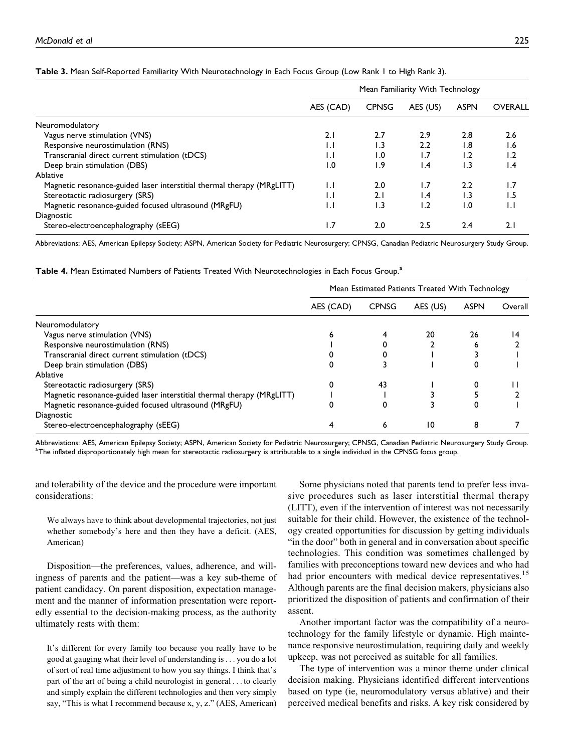|                                                                        | Mean Familiarity With Technology |              |                 |                  |                 |  |
|------------------------------------------------------------------------|----------------------------------|--------------|-----------------|------------------|-----------------|--|
|                                                                        | AES (CAD)                        | <b>CPNSG</b> | AES (US)        | <b>ASPN</b>      | <b>OVERALL</b>  |  |
| Neuromodulatory                                                        |                                  |              |                 |                  |                 |  |
| Vagus nerve stimulation (VNS)                                          | 2.1                              | 2.7          | 2.9             | 2.8              | 2.6             |  |
| Responsive neurostimulation (RNS)                                      | $\mathbf{L}$                     | I.3          | 2.2             | 1.8              | 6. ا            |  |
| Transcranial direct current stimulation (tDCS)                         | $\mathbf{L}$                     | 0. ا         | 1.7             | 1.2              | 1.2             |  |
| Deep brain stimulation (DBS)                                           | $\mathsf{L0}$                    | 1.9          | 4. ا            | $\overline{1.3}$ | $\mathsf{I}$ .4 |  |
| Ablative                                                               |                                  |              |                 |                  |                 |  |
| Magnetic resonance-guided laser interstitial thermal therapy (MRgLITT) | $\mathbf{L}$                     | 2.0          | 1.7             | 2.2              | 1.7             |  |
| Stereotactic radiosurgery (SRS)                                        | IJ                               | 2.1          | $\mathsf{I}$ .4 | $\overline{1.3}$ | 1.5             |  |
| Magnetic resonance-guided focused ultrasound (MRgFU)                   | IJ                               | 1.3          | 1.2             | $\overline{1.0}$ | IJ              |  |
| Diagnostic                                                             |                                  |              |                 |                  |                 |  |
| Stereo-electroencephalography (sEEG)                                   |                                  | 2.0          | 2.5             | 2.4              | 2.1             |  |

### **Table 3.** Mean Self-Reported Familiarity With Neurotechnology in Each Focus Group (Low Rank 1 to High Rank 3).

Abbreviations: AES, American Epilepsy Society; ASPN, American Society for Pediatric Neurosurgery; CPNSG, Canadian Pediatric Neurosurgery Study Group.

|  | <b>Table 4.</b> Mean Estimated Numbers of Patients Treated With Neurotechnologies in Each Focus Group. <sup>a</sup> |  |  |  |  |
|--|---------------------------------------------------------------------------------------------------------------------|--|--|--|--|
|  |                                                                                                                     |  |  |  |  |

|                                                                        | Mean Estimated Patients Treated With Technology |              |          |             |         |  |  |
|------------------------------------------------------------------------|-------------------------------------------------|--------------|----------|-------------|---------|--|--|
|                                                                        | AES (CAD)                                       | <b>CPNSG</b> | AES (US) | <b>ASPN</b> | Overall |  |  |
| Neuromodulatory                                                        |                                                 |              |          |             |         |  |  |
| Vagus nerve stimulation (VNS)                                          |                                                 |              | 20       | 26          | 14      |  |  |
| Responsive neurostimulation (RNS)                                      |                                                 |              |          | 6           |         |  |  |
| Transcranial direct current stimulation (tDCS)                         |                                                 |              |          |             |         |  |  |
| Deep brain stimulation (DBS)                                           |                                                 |              |          |             |         |  |  |
| Ablative                                                               |                                                 |              |          |             |         |  |  |
| Stereotactic radiosurgery (SRS)                                        |                                                 | 43           |          | 0           |         |  |  |
| Magnetic resonance-guided laser interstitial thermal therapy (MRgLITT) |                                                 |              |          |             |         |  |  |
| Magnetic resonance-guided focused ultrasound (MRgFU)                   |                                                 |              |          | 0           |         |  |  |
| Diagnostic                                                             |                                                 |              |          |             |         |  |  |
| Stereo-electroencephalography (sEEG)                                   |                                                 |              | 10       | 8           |         |  |  |

Abbreviations: AES, American Epilepsy Society; ASPN, American Society for Pediatric Neurosurgery; CPNSG, Canadian Pediatric Neurosurgery Study Group. <sup>a</sup>  $\mathrm{^{a}The}$  inflated disproportionately high mean for stereotactic radiosurgery is attributable to a single individual in the CPNSG focus group.

and tolerability of the device and the procedure were important considerations:

We always have to think about developmental trajectories, not just whether somebody's here and then they have a deficit. (AES, American)

Disposition—the preferences, values, adherence, and willingness of parents and the patient—was a key sub-theme of patient candidacy. On parent disposition, expectation management and the manner of information presentation were reportedly essential to the decision-making process, as the authority ultimately rests with them:

It's different for every family too because you really have to be good at gauging what their level of understanding is... you do a lot of sort of real time adjustment to how you say things. I think that's part of the art of being a child neurologist in general ... to clearly and simply explain the different technologies and then very simply say, "This is what I recommend because x, y, z." (AES, American)

Some physicians noted that parents tend to prefer less invasive procedures such as laser interstitial thermal therapy (LITT), even if the intervention of interest was not necessarily suitable for their child. However, the existence of the technology created opportunities for discussion by getting individuals "in the door" both in general and in conversation about specific technologies. This condition was sometimes challenged by families with preconceptions toward new devices and who had had prior encounters with medical device representatives.<sup>15</sup> Although parents are the final decision makers, physicians also prioritized the disposition of patients and confirmation of their assent.

Another important factor was the compatibility of a neurotechnology for the family lifestyle or dynamic. High maintenance responsive neurostimulation, requiring daily and weekly upkeep, was not perceived as suitable for all families.

The type of intervention was a minor theme under clinical decision making. Physicians identified different interventions based on type (ie, neuromodulatory versus ablative) and their perceived medical benefits and risks. A key risk considered by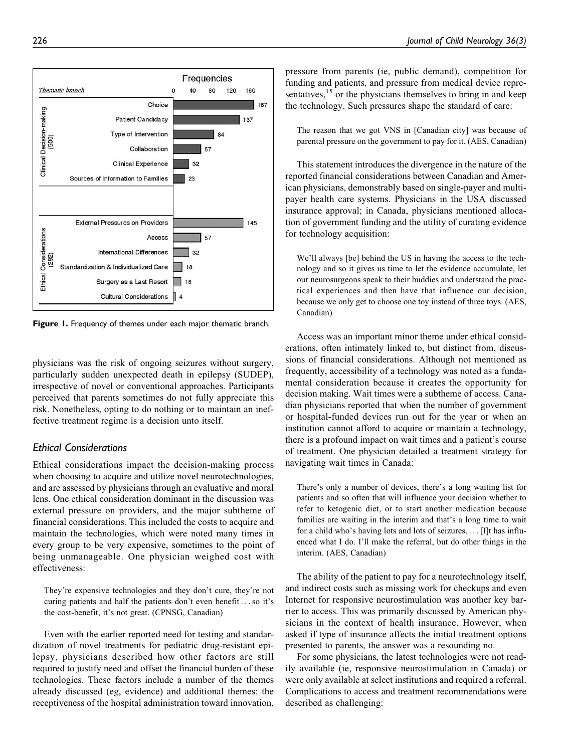

**Figure 1.** Frequency of themes under each major thematic branch.

physicians was the risk of ongoing seizures without surgery, particularly sudden unexpected death in epilepsy (SUDEP), irrespective of novel or conventional approaches. Participants perceived that parents sometimes do not fully appreciate this risk. Nonetheless, opting to do nothing or to maintain an ineffective treatment regime is a decision unto itself.

# *Ethical Considerations*

Ethical considerations impact the decision-making process when choosing to acquire and utilize novel neurotechnologies, and are assessed by physicians through an evaluative and moral lens. One ethical consideration dominant in the discussion was external pressure on providers, and the major subtheme of financial considerations. This included the costs to acquire and maintain the technologies, which were noted many times in every group to be very expensive, sometimes to the point of being unmanageable. One physician weighed cost with effectiveness:

They're expensive technologies and they don't cure, they're not curing patients and half the patients don't even benefit ...so it's the cost-benefit, it's not great. (CPNSG, Canadian)

Even with the earlier reported need for testing and standardization of novel treatments for pediatric drug-resistant epilepsy, physicians described how other factors are still required to justify need and offset the financial burden of these technologies. These factors include a number of the themes already discussed (eg, evidence) and additional themes: the receptiveness of the hospital administration toward innovation,

pressure from parents (ie, public demand), competition for funding and patients, and pressure from medical device representatives,<sup>15</sup> or the physicians themselves to bring in and keep the technology. Such pressures shape the standard of care:

The reason that we got VNS in [Canadian city] was because of parental pressure on the government to pay for it. (AES, Canadian)

This statement introduces the divergence in the nature of the reported financial considerations between Canadian and American physicians, demonstrably based on single-payer and multipayer health care systems. Physicians in the USA discussed insurance approval; in Canada, physicians mentioned allocation of government funding and the utility of curating evidence for technology acquisition:

We'll always [be] behind the US in having the access to the technology and so it gives us time to let the evidence accumulate, let our neurosurgeons speak to their buddies and understand the practical experiences and then have that influence our decision, because we only get to choose one toy instead of three toys. (AES, Canadian)

Access was an important minor theme under ethical considerations, often intimately linked to, but distinct from, discussions of financial considerations. Although not mentioned as frequently, accessibility of a technology was noted as a fundamental consideration because it creates the opportunity for decision making. Wait times were a subtheme of access. Canadian physicians reported that when the number of government or hospital-funded devices run out for the year or when an institution cannot afford to acquire or maintain a technology, there is a profound impact on wait times and a patient's course of treatment. One physician detailed a treatment strategy for navigating wait times in Canada:

There's only a number of devices, there's a long waiting list for patients and so often that will influence your decision whether to refer to ketogenic diet, or to start another medication because families are waiting in the interim and that's a long time to wait for a child who's having lots and lots of seizures. ...[I]t has influenced what I do. I'll make the referral, but do other things in the interim. (AES, Canadian)

The ability of the patient to pay for a neurotechnology itself, and indirect costs such as missing work for checkups and even Internet for responsive neurostimulation was another key barrier to access. This was primarily discussed by American physicians in the context of health insurance. However, when asked if type of insurance affects the initial treatment options presented to parents, the answer was a resounding no.

For some physicians, the latest technologies were not readily available (ie, responsive neurostimulation in Canada) or were only available at select institutions and required a referral. Complications to access and treatment recommendations were described as challenging: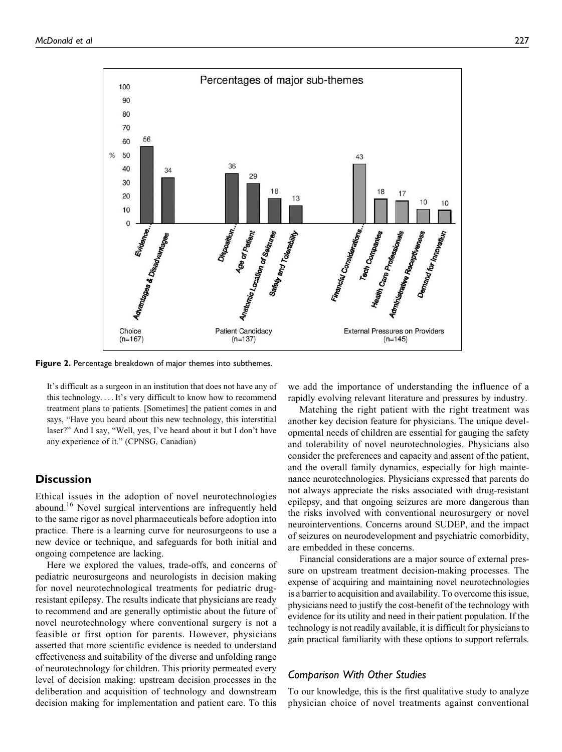

**Figure 2.** Percentage breakdown of major themes into subthemes.

It's difficult as a surgeon in an institution that does not have any of this technology. ... It's very difficult to know how to recommend treatment plans to patients. [Sometimes] the patient comes in and says, "Have you heard about this new technology, this interstitial laser?" And I say, "Well, yes, I've heard about it but I don't have any experience of it." (CPNSG, Canadian)

# **Discussion**

Ethical issues in the adoption of novel neurotechnologies abound.<sup>16</sup> Novel surgical interventions are infrequently held to the same rigor as novel pharmaceuticals before adoption into practice. There is a learning curve for neurosurgeons to use a new device or technique, and safeguards for both initial and ongoing competence are lacking.

Here we explored the values, trade-offs, and concerns of pediatric neurosurgeons and neurologists in decision making for novel neurotechnological treatments for pediatric drugresistant epilepsy. The results indicate that physicians are ready to recommend and are generally optimistic about the future of novel neurotechnology where conventional surgery is not a feasible or first option for parents. However, physicians asserted that more scientific evidence is needed to understand effectiveness and suitability of the diverse and unfolding range of neurotechnology for children. This priority permeated every level of decision making: upstream decision processes in the deliberation and acquisition of technology and downstream decision making for implementation and patient care. To this

we add the importance of understanding the influence of a rapidly evolving relevant literature and pressures by industry.

Matching the right patient with the right treatment was another key decision feature for physicians. The unique developmental needs of children are essential for gauging the safety and tolerability of novel neurotechnologies. Physicians also consider the preferences and capacity and assent of the patient, and the overall family dynamics, especially for high maintenance neurotechnologies. Physicians expressed that parents do not always appreciate the risks associated with drug-resistant epilepsy, and that ongoing seizures are more dangerous than the risks involved with conventional neurosurgery or novel neurointerventions. Concerns around SUDEP, and the impact of seizures on neurodevelopment and psychiatric comorbidity, are embedded in these concerns.

Financial considerations are a major source of external pressure on upstream treatment decision-making processes. The expense of acquiring and maintaining novel neurotechnologies is a barrier to acquisition and availability. To overcome this issue, physicians need to justify the cost-benefit of the technology with evidence for its utility and need in their patient population. If the technology is not readily available, it is difficult for physicians to gain practical familiarity with these options to support referrals.

### *Comparison With Other Studies*

To our knowledge, this is the first qualitative study to analyze physician choice of novel treatments against conventional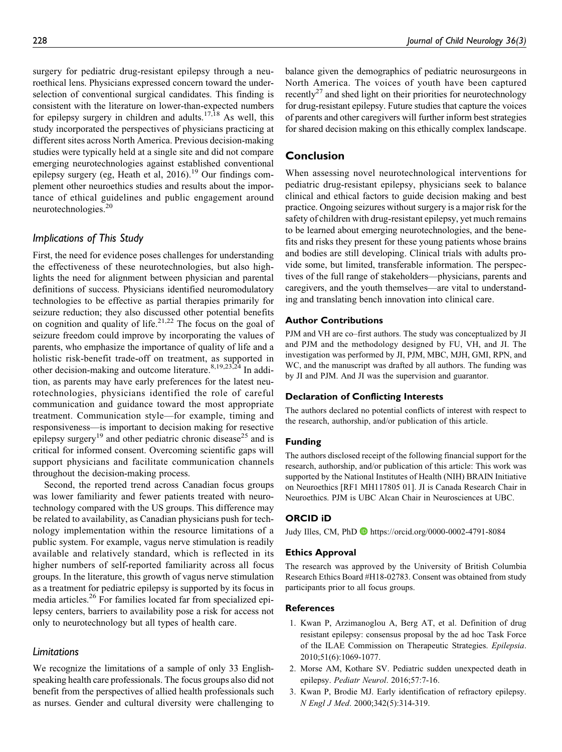surgery for pediatric drug-resistant epilepsy through a neuroethical lens. Physicians expressed concern toward the underselection of conventional surgical candidates. This finding is consistent with the literature on lower-than-expected numbers for epilepsy surgery in children and adults.<sup>17,18</sup> As well, this study incorporated the perspectives of physicians practicing at different sites across North America. Previous decision-making studies were typically held at a single site and did not compare emerging neurotechnologies against established conventional epilepsy surgery (eg, Heath et al,  $2016$ ).<sup>19</sup> Our findings complement other neuroethics studies and results about the importance of ethical guidelines and public engagement around neurotechnologies.<sup>20</sup>

# *Implications of This Study*

First, the need for evidence poses challenges for understanding the effectiveness of these neurotechnologies, but also highlights the need for alignment between physician and parental definitions of success. Physicians identified neuromodulatory technologies to be effective as partial therapies primarily for seizure reduction; they also discussed other potential benefits on cognition and quality of life.<sup>21,22</sup> The focus on the goal of seizure freedom could improve by incorporating the values of parents, who emphasize the importance of quality of life and a holistic risk-benefit trade-off on treatment, as supported in other decision-making and outcome literature.<sup>8,19,23,24</sup> In addition, as parents may have early preferences for the latest neurotechnologies, physicians identified the role of careful communication and guidance toward the most appropriate treatment. Communication style—for example, timing and responsiveness—is important to decision making for resective epilepsy surgery<sup>19</sup> and other pediatric chronic disease<sup>25</sup> and is critical for informed consent. Overcoming scientific gaps will support physicians and facilitate communication channels throughout the decision-making process.

Second, the reported trend across Canadian focus groups was lower familiarity and fewer patients treated with neurotechnology compared with the US groups. This difference may be related to availability, as Canadian physicians push for technology implementation within the resource limitations of a public system. For example, vagus nerve stimulation is readily available and relatively standard, which is reflected in its higher numbers of self-reported familiarity across all focus groups. In the literature, this growth of vagus nerve stimulation as a treatment for pediatric epilepsy is supported by its focus in media articles.<sup>26</sup> For families located far from specialized epilepsy centers, barriers to availability pose a risk for access not only to neurotechnology but all types of health care.

### *Limitations*

We recognize the limitations of a sample of only 33 Englishspeaking health care professionals. The focus groups also did not benefit from the perspectives of allied health professionals such as nurses. Gender and cultural diversity were challenging to

balance given the demographics of pediatric neurosurgeons in North America. The voices of youth have been captured recently<sup>27</sup> and shed light on their priorities for neurotechnology for drug-resistant epilepsy. Future studies that capture the voices of parents and other caregivers will further inform best strategies for shared decision making on this ethically complex landscape.

# **Conclusion**

When assessing novel neurotechnological interventions for pediatric drug-resistant epilepsy, physicians seek to balance clinical and ethical factors to guide decision making and best practice. Ongoing seizures without surgery is a major risk for the safety of children with drug-resistant epilepsy, yet much remains to be learned about emerging neurotechnologies, and the benefits and risks they present for these young patients whose brains and bodies are still developing. Clinical trials with adults provide some, but limited, transferable information. The perspectives of the full range of stakeholders—physicians, parents and caregivers, and the youth themselves—are vital to understanding and translating bench innovation into clinical care.

### **Author Contributions**

PJM and VH are co–first authors. The study was conceptualized by JI and PJM and the methodology designed by FU, VH, and JI. The investigation was performed by JI, PJM, MBC, MJH, GMI, RPN, and WC, and the manuscript was drafted by all authors. The funding was by JI and PJM. And JI was the supervision and guarantor.

### **Declaration of Conflicting Interests**

The authors declared no potential conflicts of interest with respect to the research, authorship, and/or publication of this article.

### **Funding**

The authors disclosed receipt of the following financial support for the research, authorship, and/or publication of this article: This work was supported by the National Institutes of Health (NIH) BRAIN Initiative on Neuroethics [RF1 MH117805 01]. JI is Canada Research Chair in Neuroethics. PJM is UBC Alcan Chair in Neurosciences at UBC.

### **ORCID iD**

Judy Illes, CM, PhD **b** <https://orcid.org/0000-0002-4791-8084>

### **Ethics Approval**

The research was approved by the University of British Columbia Research Ethics Board #H18-02783. Consent was obtained from study participants prior to all focus groups.

### **References**

- 1. Kwan P, Arzimanoglou A, Berg AT, et al. Definition of drug resistant epilepsy: consensus proposal by the ad hoc Task Force of the ILAE Commission on Therapeutic Strategies. Epilepsia. 2010;51(6):1069-1077.
- 2. Morse AM, Kothare SV. Pediatric sudden unexpected death in epilepsy. Pediatr Neurol. 2016;57:7-16.
- 3. Kwan P, Brodie MJ. Early identification of refractory epilepsy. N Engl J Med. 2000;342(5):314-319.